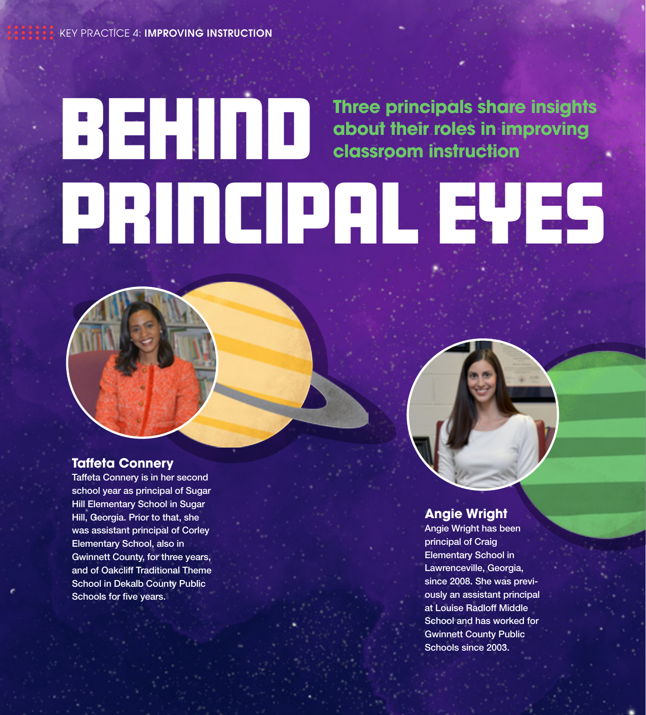KEY PRACTICE 4: IMPROVING INSTRUCTION

# Behind Principal Eyes **Three principals share insights about their roles in improving classroom instruction**

#### **Taffeta Connery**

Taffeta Connery is in her second school year as principal of Sugar Hill Elementary School in Sugar Hill, Georgia. Prior to that, she was assistant principal of Corley Elementary School, also in Gwinnett County, for three years, and of Oakcliff Traditional Theme School in Dekalb County Public Schools for five years.

### **Angie Wright**

Angie Wright has been principal of Craig Elementary School in Lawrenceville, Georgia, since 2008. She was previously an assistant principal at Louise Radloff Middle School and has worked for Gwinnett County Public Schools since 2003.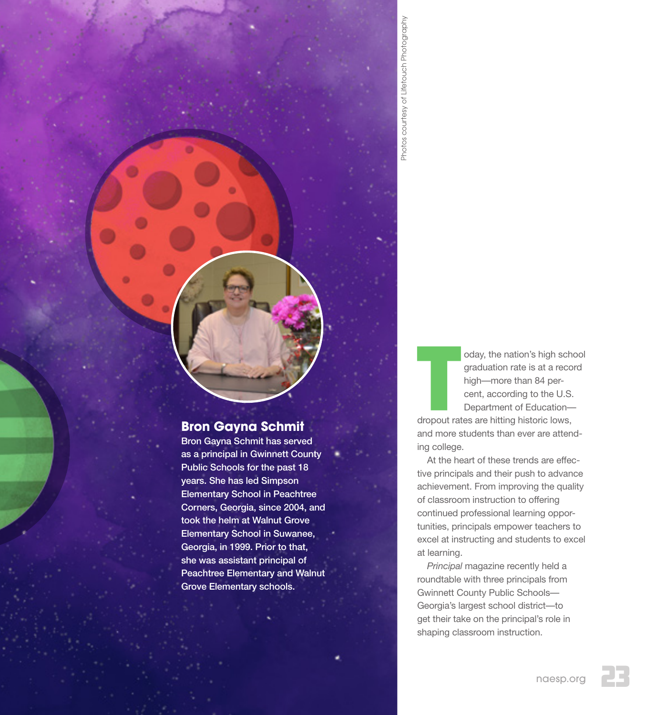Photos courtesy of Lifetouch Photography Photograph Photos courtesy of Lifetouch

#### **Bron Gayna Schmit**

Bron Gayna Schmit has served as a principal in Gwinnett County Public Schools for the past 18 years. She has led Simpson Elementary School in Peachtree Corners, Georgia, since 2004, and took the helm at Walnut Grove Elementary School in Suwanee, Georgia, in 1999. Prior to that, she was assistant principal of Peachtree Elementary and Walnut Grove Elementary schools.

oday, the nation's high school graduation rate is at a record high—more than 84 percent, according to the U.S. Department of Education—

T dropout rates are hitting historic lows, and more students than ever are attending college.

At the heart of these trends are effective principals and their push to advance achievement. From improving the quality of classroom instruction to offering continued professional learning opportunities, principals empower teachers to excel at instructing and students to excel at learning.

*Principal* magazine recently held a roundtable with three principals from Gwinnett County Public Schools— Georgia's largest school district—to get their take on the principal's role in shaping classroom instruction.

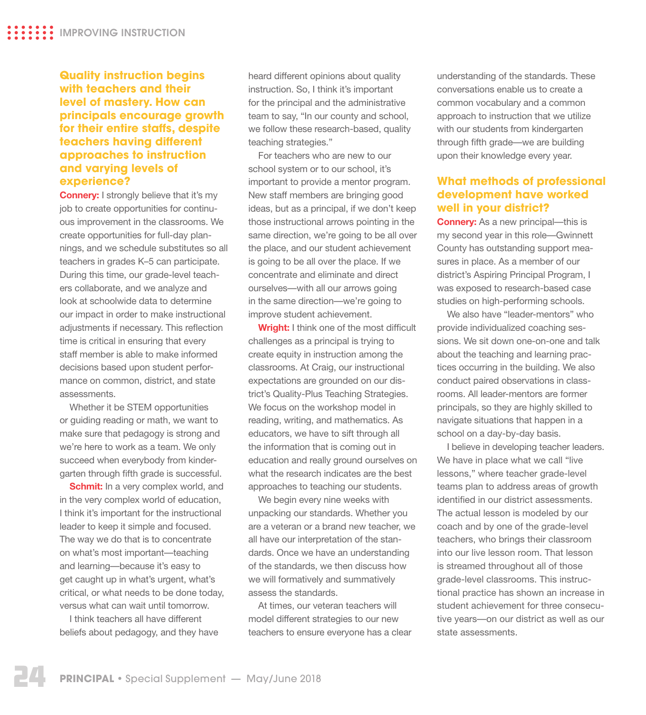#### **Quality instruction begins with teachers and their level of mastery. How can principals encourage growth for their entire staffs, despite teachers having different approaches to instruction and varying levels of experience?**

**Connery:** I strongly believe that it's my job to create opportunities for continuous improvement in the classrooms. We create opportunities for full-day plannings, and we schedule substitutes so all teachers in grades K–5 can participate. During this time, our grade-level teachers collaborate, and we analyze and look at schoolwide data to determine our impact in order to make instructional adjustments if necessary. This reflection time is critical in ensuring that every staff member is able to make informed decisions based upon student performance on common, district, and state assessments.

Whether it be STEM opportunities or guiding reading or math, we want to make sure that pedagogy is strong and we're here to work as a team. We only succeed when everybody from kindergarten through fifth grade is successful.

**Schmit:** In a very complex world, and in the very complex world of education, I think it's important for the instructional leader to keep it simple and focused. The way we do that is to concentrate on what's most important—teaching and learning—because it's easy to get caught up in what's urgent, what's critical, or what needs to be done today, versus what can wait until tomorrow.

I think teachers all have different beliefs about pedagogy, and they have

heard different opinions about quality instruction. So, I think it's important for the principal and the administrative team to say, "In our county and school, we follow these research-based, quality teaching strategies."

For teachers who are new to our school system or to our school, it's important to provide a mentor program. New staff members are bringing good ideas, but as a principal, if we don't keep those instructional arrows pointing in the same direction, we're going to be all over the place, and our student achievement is going to be all over the place. If we concentrate and eliminate and direct ourselves—with all our arrows going in the same direction—we're going to improve student achievement.

**Wright:** I think one of the most difficult challenges as a principal is trying to create equity in instruction among the classrooms. At Craig, our instructional expectations are grounded on our district's Quality-Plus Teaching Strategies. We focus on the workshop model in reading, writing, and mathematics. As educators, we have to sift through all the information that is coming out in education and really ground ourselves on what the research indicates are the best approaches to teaching our students.

We begin every nine weeks with unpacking our standards. Whether you are a veteran or a brand new teacher, we all have our interpretation of the standards. Once we have an understanding of the standards, we then discuss how we will formatively and summatively assess the standards.

At times, our veteran teachers will model different strategies to our new teachers to ensure everyone has a clear understanding of the standards. These conversations enable us to create a common vocabulary and a common approach to instruction that we utilize with our students from kindergarten through fifth grade—we are building upon their knowledge every year.

#### **What methods of professional development have worked well in your district?**

**Connery:** As a new principal—this is my second year in this role—Gwinnett County has outstanding support measures in place. As a member of our district's Aspiring Principal Program, I was exposed to research-based case studies on high-performing schools.

We also have "leader-mentors" who provide individualized coaching sessions. We sit down one-on-one and talk about the teaching and learning practices occurring in the building. We also conduct paired observations in classrooms. All leader-mentors are former principals, so they are highly skilled to navigate situations that happen in a school on a day-by-day basis.

I believe in developing teacher leaders. We have in place what we call "live lessons," where teacher grade-level teams plan to address areas of growth identified in our district assessments. The actual lesson is modeled by our coach and by one of the grade-level teachers, who brings their classroom into our live lesson room. That lesson is streamed throughout all of those grade-level classrooms. This instructional practice has shown an increase in student achievement for three consecutive years—on our district as well as our state assessments.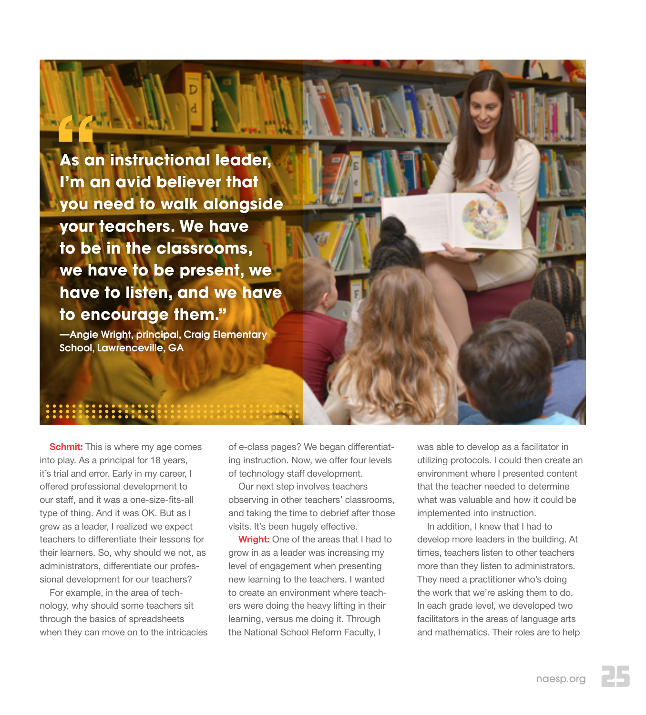**As an instructional leader, I'm an avid believer that you need to walk alongside your teachers. We have to be in the classrooms, we have to be present, we have to listen, and we have to encourage them."** 

—Angie Wright, principal, Craig Elementary School, Lawrenceville, GA

**Schmit:** This is where my age comes into play. As a principal for 18 years, it's trial and error. Early in my career, I offered professional development to our staff, and it was a one-size-fits-all type of thing. And it was OK. But as I grew as a leader, I realized we expect teachers to differentiate their lessons for their learners. So, why should we not, as administrators, differentiate our professional development for our teachers?

For example, in the area of technology, why should some teachers sit through the basics of spreadsheets when they can move on to the intricacies of e-class pages? We began differentiating instruction. Now, we offer four levels of technology staff development.

Our next step involves teachers observing in other teachers' classrooms, and taking the time to debrief after those visits. It's been hugely effective.

**Wright:** One of the areas that I had to grow in as a leader was increasing my level of engagement when presenting new learning to the teachers. I wanted to create an environment where teachers were doing the heavy lifting in their learning, versus me doing it. Through the National School Reform Faculty, I

was able to develop as a facilitator in utilizing protocols. I could then create an environment where I presented content that the teacher needed to determine what was valuable and how it could be implemented into instruction.

In addition, I knew that I had to develop more leaders in the building. At times, teachers listen to other teachers more than they listen to administrators. They need a practitioner who's doing the work that we're asking them to do. In each grade level, we developed two facilitators in the areas of language arts and mathematics. Their roles are to help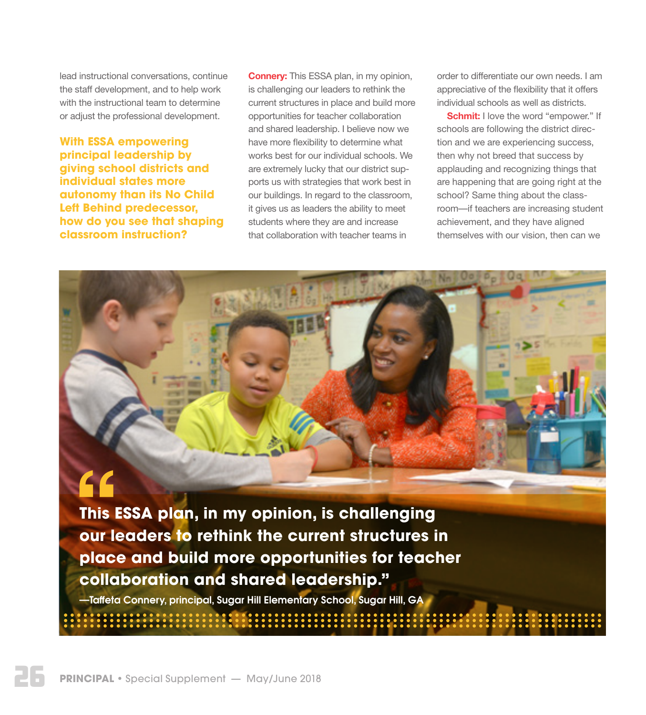lead instructional conversations, continue the staff development, and to help work with the instructional team to determine or adjust the professional development.

**With ESSA empowering principal leadership by giving school districts and individual states more autonomy than its No Child Left Behind predecessor, how do you see that shaping classroom instruction?**

**Connery:** This ESSA plan, in my opinion, is challenging our leaders to rethink the current structures in place and build more opportunities for teacher collaboration and shared leadership. I believe now we have more flexibility to determine what works best for our individual schools. We are extremely lucky that our district supports us with strategies that work best in our buildings. In regard to the classroom, it gives us as leaders the ability to meet students where they are and increase that collaboration with teacher teams in

order to differentiate our own needs. I am appreciative of the flexibility that it offers individual schools as well as districts.

**Schmit:** I love the word "empower." If schools are following the district direction and we are experiencing success, then why not breed that success by applauding and recognizing things that are happening that are going right at the school? Same thing about the classroom—if teachers are increasing student achievement, and they have aligned themselves with our vision, then can we

**This ESSA plan, in my opinion, is challenging our leaders to rethink the current structures in place and build more opportunities for teacher collaboration and shared leadership."** 

—Taffeta Connery, principal, Sugar Hill Elementary School, Sugar Hill, GA